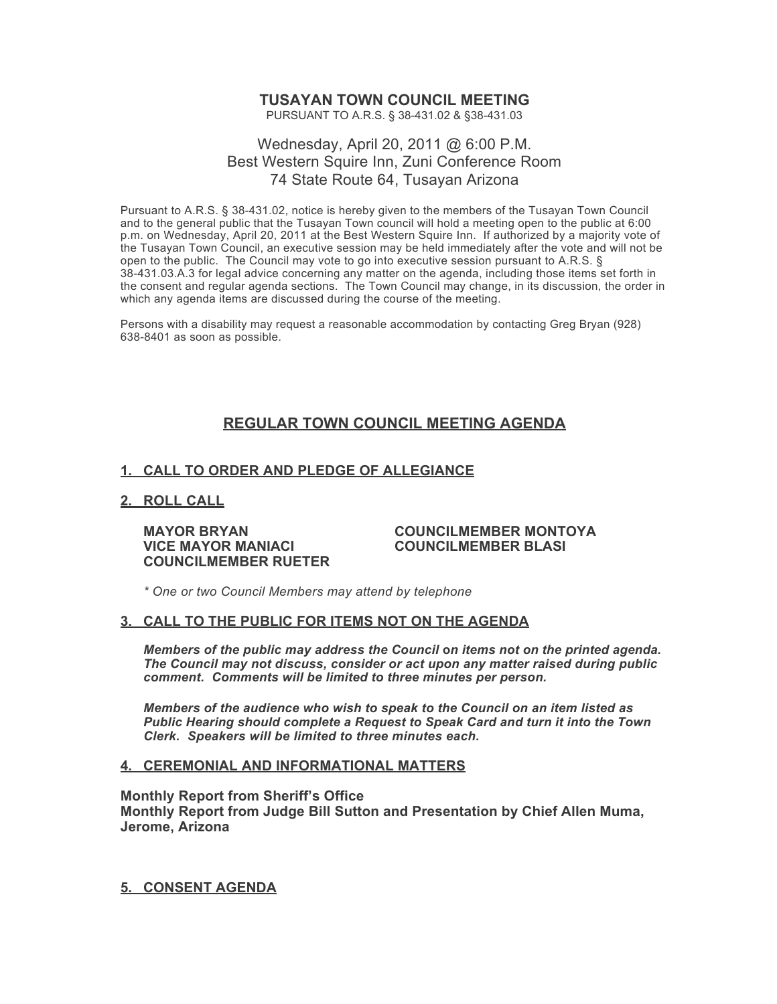# **TUSAYAN TOWN COUNCIL MEETING**

PURSUANT TO A.R.S. § 38-431.02 & §38-431.03

## Wednesday, April 20, 2011 @ 6:00 P.M. Best Western Squire Inn, Zuni Conference Room 74 State Route 64, Tusayan Arizona

Pursuant to A.R.S. § 38-431.02, notice is hereby given to the members of the Tusayan Town Council and to the general public that the Tusayan Town council will hold a meeting open to the public at 6:00 p.m. on Wednesday, April 20, 2011 at the Best Western Squire Inn. If authorized by a majority vote of the Tusayan Town Council, an executive session may be held immediately after the vote and will not be open to the public. The Council may vote to go into executive session pursuant to A.R.S. § 38-431.03.A.3 for legal advice concerning any matter on the agenda, including those items set forth in the consent and regular agenda sections. The Town Council may change, in its discussion, the order in which any agenda items are discussed during the course of the meeting.

Persons with a disability may request a reasonable accommodation by contacting Greg Bryan (928) 638-8401 as soon as possible.

# **REGULAR TOWN COUNCIL MEETING AGENDA**

## **1. CALL TO ORDER AND PLEDGE OF ALLEGIANCE**

#### **2. ROLL CALL**

**VICE MAYOR MANIACI COUNCILMEMBER BLASI COUNCILMEMBER RUETER**

# **MAYOR BRYAN COUNCILMEMBER MONTOYA**

*\* One or two Council Members may attend by telephone*

#### **3. CALL TO THE PUBLIC FOR ITEMS NOT ON THE AGENDA**

*Members of the public may address the Council* **o***n items not on the printed agenda. The Council may not discuss, consider or act upon any matter raised during public comment. Comments will be limited to three minutes per person.*

*Members of the audience who wish to speak to the Council on an item listed as Public Hearing should complete a Request to Speak Card and turn it into the Town Clerk. Speakers will be limited to three minutes each.*

#### **4. CEREMONIAL AND INFORMATIONAL MATTERS**

#### **Monthly Report from Sheriff's Office**

**Monthly Report from Judge Bill Sutton and Presentation by Chief Allen Muma, Jerome, Arizona**

**5. CONSENT AGENDA**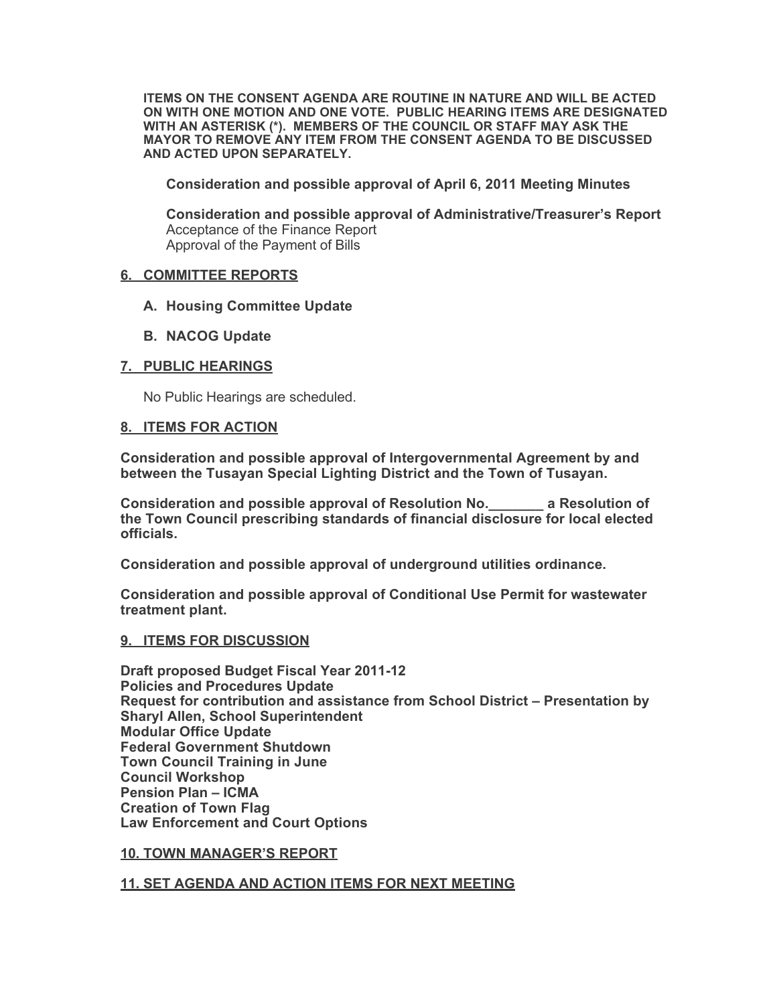**ITEMS ON THE CONSENT AGENDA ARE ROUTINE IN NATURE AND WILL BE ACTED ON WITH ONE MOTION AND ONE VOTE. PUBLIC HEARING ITEMS ARE DESIGNATED WITH AN ASTERISK (\*). MEMBERS OF THE COUNCIL OR STAFF MAY ASK THE MAYOR TO REMOVE ANY ITEM FROM THE CONSENT AGENDA TO BE DISCUSSED AND ACTED UPON SEPARATELY.**

**Consideration and possible approval of April 6, 2011 Meeting Minutes**

**Consideration and possible approval of Administrative/Treasurer's Report** Acceptance of the Finance Report Approval of the Payment of Bills

#### **6. COMMITTEE REPORTS**

- **A. Housing Committee Update**
- **B. NACOG Update**

### **7. PUBLIC HEARINGS**

No Public Hearings are scheduled.

#### **8. ITEMS FOR ACTION**

**Consideration and possible approval of Intergovernmental Agreement by and between the Tusayan Special Lighting District and the Town of Tusayan.**

**Consideration and possible approval of Resolution No.\_\_\_\_\_\_\_ a Resolution of the Town Council prescribing standards of financial disclosure for local elected officials.**

**Consideration and possible approval of underground utilities ordinance.**

**Consideration and possible approval of Conditional Use Permit for wastewater treatment plant.**

#### **9. ITEMS FOR DISCUSSION**

**Draft proposed Budget Fiscal Year 2011-12 Policies and Procedures Update Request for contribution and assistance from School District – Presentation by Sharyl Allen, School Superintendent Modular Office Update Federal Government Shutdown Town Council Training in June Council Workshop Pension Plan – ICMA Creation of Town Flag Law Enforcement and Court Options**

#### **10. TOWN MANAGER'S REPORT**

#### **11. SET AGENDA AND ACTION ITEMS FOR NEXT MEETING**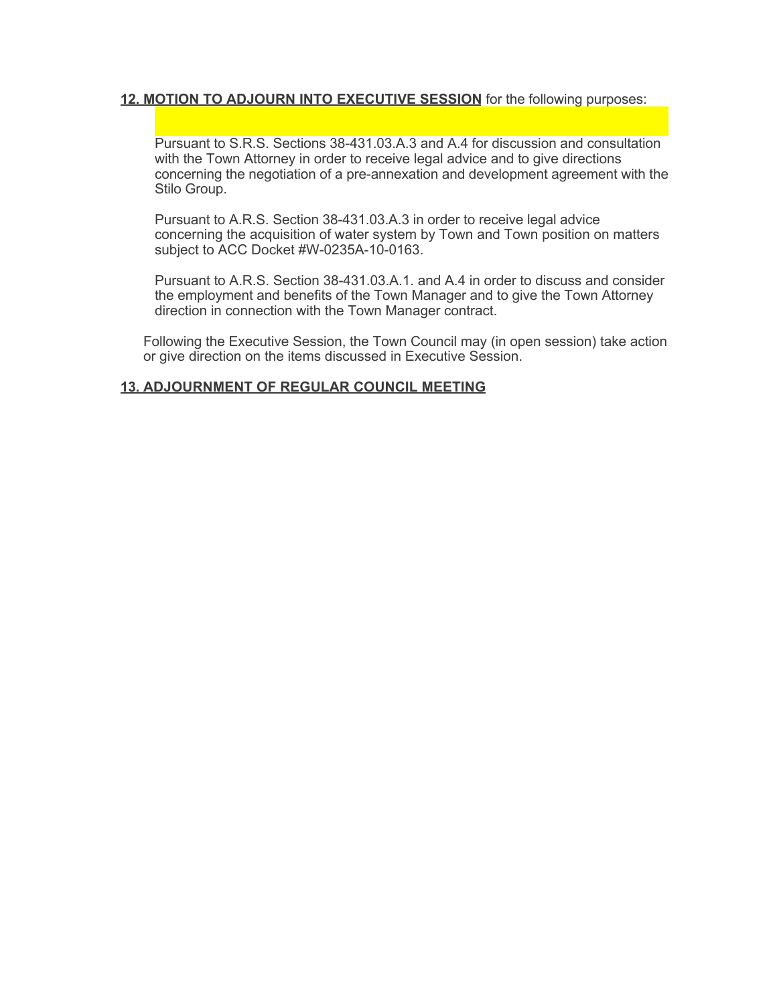### **12. MOTION TO ADJOURN INTO EXECUTIVE SESSION** for the following purposes:

Pursuant to S.R.S. Sections 38-431.03.A.3 and A.4 for discussion and consultation with the Town Attorney in order to receive legal advice and to give directions concerning the negotiation of a pre-annexation and development agreement with the Stilo Group.

Pursuant to A.R.S. Section 38-431.03.A.3 in order to receive legal advice concerning the acquisition of water system by Town and Town position on matters subject to ACC Docket #W-0235A-10-0163.

Pursuant to A.R.S. Section 38-431.03.A.1. and A.4 in order to discuss and consider the employment and benefits of the Town Manager and to give the Town Attorney direction in connection with the Town Manager contract.

Following the Executive Session, the Town Council may (in open session) take action or give direction on the items discussed in Executive Session.

## **13. ADJOURNMENT OF REGULAR COUNCIL MEETING**